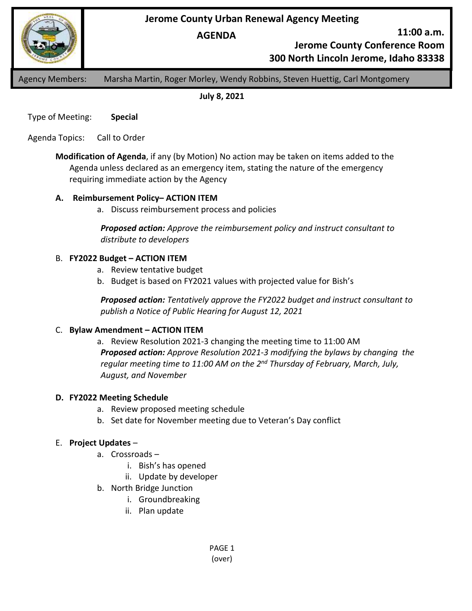**Jerome County Urban Renewal Agency Meeting**

**AGENDA**

**11:00 a.m.**

**Jerome County Conference Room**

**300 North Lincoln Jerome, Idaho 83338**

Agency Members: Marsha Martin, Roger Morley, Wendy Robbins, Steven Huettig, Carl Montgomery

**July 8, 2021**

Type of Meeting: **Special**

Agenda Topics: Call to Order

**Modification of Agenda**, if any (by Motion) No action may be taken on items added to the Agenda unless declared as an emergency item, stating the nature of the emergency requiring immediate action by the Agency

## **A. Reimbursement Policy– ACTION ITEM**

a. Discuss reimbursement process and policies

*Proposed action: Approve the reimbursement policy and instruct consultant to distribute to developers*

## B. **FY2022 Budget – ACTION ITEM**

- a. Review tentative budget
- b. Budget is based on FY2021 values with projected value for Bish's

*Proposed action: Tentatively approve the FY2022 budget and instruct consultant to publish a Notice of Public Hearing for August 12, 2021*

### C. **Bylaw Amendment – ACTION ITEM**

a. Review Resolution 2021-3 changing the meeting time to 11:00 AM *Proposed action: Approve Resolution 2021-3 modifying the bylaws by changing the regular meeting time to 11:00 AM on the 2nd Thursday of February, March, July, August, and November*

### **D. FY2022 Meeting Schedule**

- a. Review proposed meeting schedule
- b. Set date for November meeting due to Veteran's Day conflict

# E. **Project Updates** –

- a. Crossroads
	- i. Bish's has opened
	- ii. Update by developer
- b. North Bridge Junction
	- i. Groundbreaking
	- ii. Plan update

PAGE 1 (over)